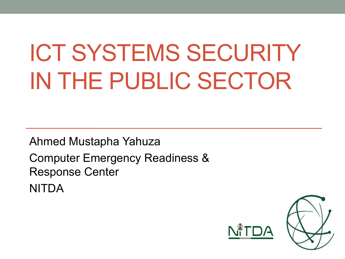### ICT SYSTEMS SECURITY IN THE PUBLIC SECTOR

Ahmed Mustapha Yahuza Computer Emergency Readiness & Response Center NITDA

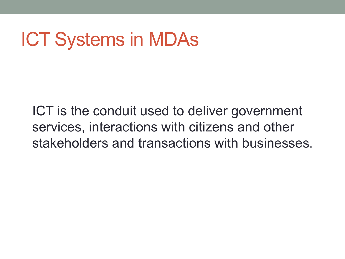#### ICT Systems in MDAs

ICT is the conduit used to deliver government services, interactions with citizens and other stakeholders and transactions with businesses.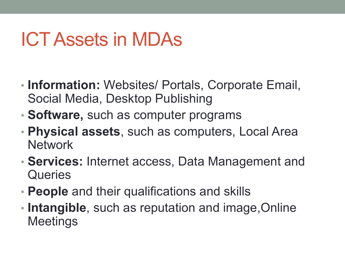#### ICT Assets in MDAs

- **Information:** Websites/ Portals, Corporate Email, Social Media, Desktop Publishing
- **Software,** such as computer programs
- **Physical assets**, such as computers, Local Area **Network**
- **Services:** Internet access, Data Management and **Queries**
- **People** and their qualifications and skills
- **Intangible**, such as reputation and image,Online **Meetings**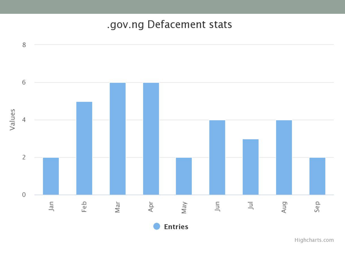#### .gov.ng Defacement stats



Highcharts.com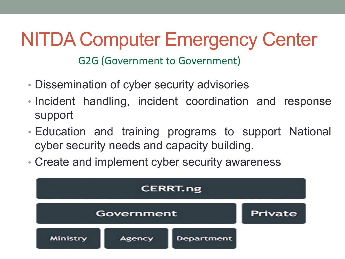#### NITDA Computer Emergency Center

G2G (Government to Government)

- Dissemination of cyber security advisories
- Incident handling, incident coordination and response support
- Education and training programs to support National cyber security needs and capacity building.
- Create and implement cyber security awareness

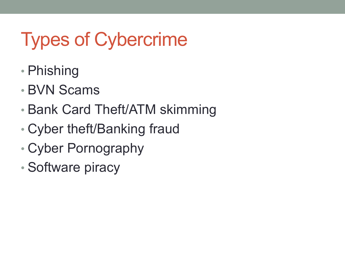#### Types of Cybercrime

- Phishing
- BVN Scams
- Bank Card Theft/ATM skimming
- Cyber theft/Banking fraud
- Cyber Pornography
- Software piracy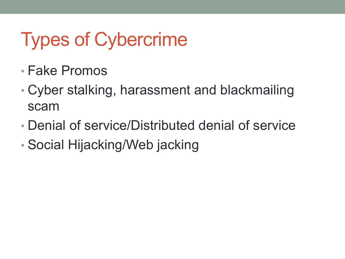#### Types of Cybercrime

- Fake Promos
- Cyber stalking, harassment and blackmailing scam
- Denial of service/Distributed denial of service
- Social Hijacking/Web jacking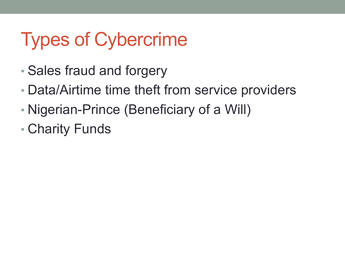#### Types of Cybercrime

- Sales fraud and forgery
- Data/Airtime time theft from service providers
- Nigerian-Prince (Beneficiary of a Will)
- Charity Funds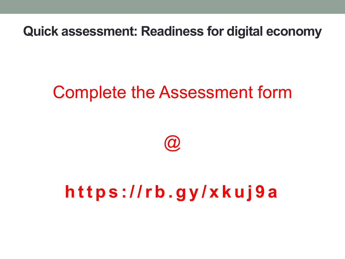**Quick assessment: Readiness for digital economy**

#### Complete the Assessment form



#### **https ://rb.gy/xkuj9a**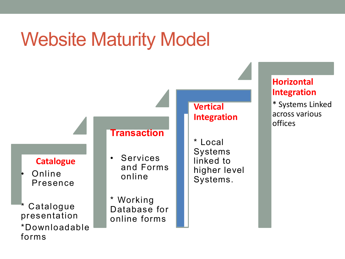#### Website Maturity Model

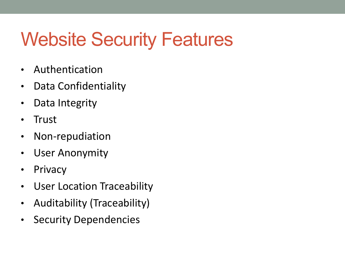#### Website Security Features

- Authentication
- Data Confidentiality
- Data Integrity
- Trust
- Non-repudiation
- User Anonymity
- Privacy
- User Location Traceability
- Auditability (Traceability)
- Security Dependencies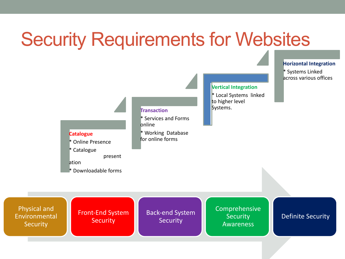#### Security Requirements for Websites

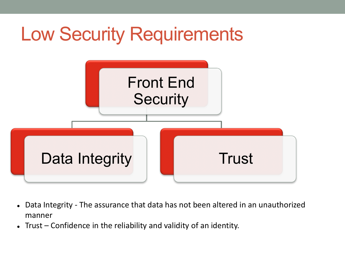

- Data Integrity The assurance that data has not been altered in an unauthorized manner
- Trust Confidence in the reliability and validity of an identity.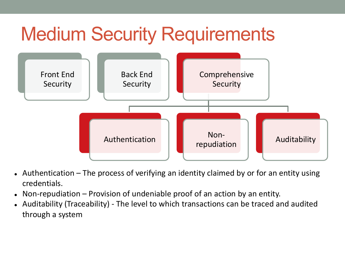#### **Medium Security Requirements**



- Authentication The process of verifying an identity claimed by or for an entity using credentials.
- Non-repudiation  $-$  Provision of undeniable proof of an action by an entity.
- Auditability (Traceability) The level to which transactions can be traced and audited through a system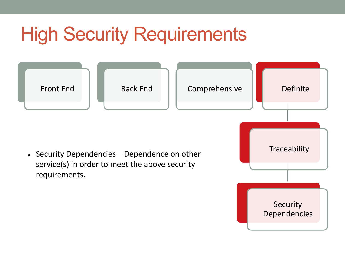# **High Security Requirements**

• Security Dependencies – Dependence on other service(s) in order to meet the above security requirements.

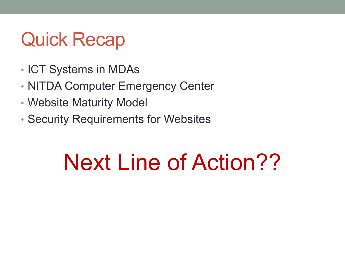#### Quick Recap

- ICT Systems in MDAs
- NITDA Computer Emergency Center
- Website Maturity Model
- Security Requirements for Websites

#### Next Line of Action??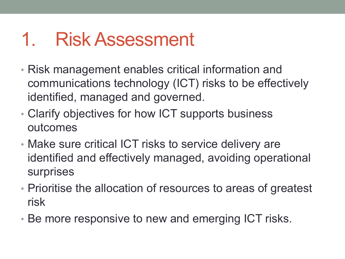#### 1. Risk Assessment

- Risk management enables critical information and communications technology (ICT) risks to be effectively identified, managed and governed.
- Clarify objectives for how ICT supports business outcomes
- Make sure critical ICT risks to service delivery are identified and effectively managed, avoiding operational surprises
- Prioritise the allocation of resources to areas of greatest risk
- Be more responsive to new and emerging ICT risks.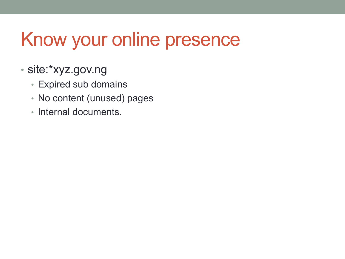#### Know your online presence

- site:\*xyz.gov.ng
	- Expired sub domains
	- No content (unused) pages
	- Internal documents.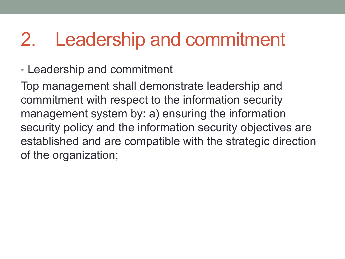#### 2. Leadership and commitment

• Leadership and commitment

Top management shall demonstrate leadership and commitment with respect to the information security management system by: a) ensuring the information security policy and the information security objectives are established and are compatible with the strategic direction of the organization;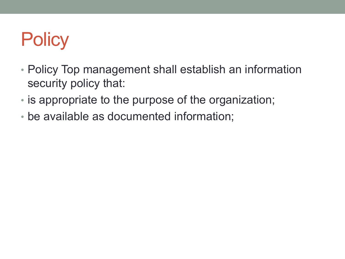#### **Policy**

- Policy Top management shall establish an information security policy that:
- is appropriate to the purpose of the organization;
- be available as documented information;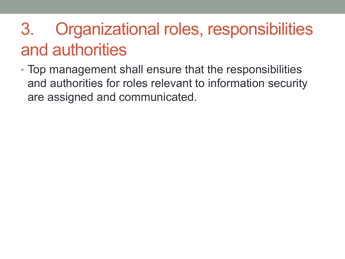#### 3. Organizational roles, responsibilities and authorities

• Top management shall ensure that the responsibilities and authorities for roles relevant to information security are assigned and communicated.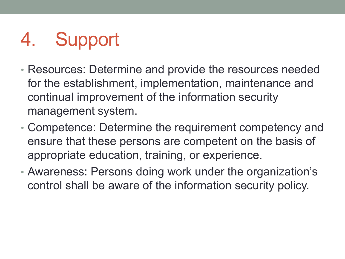#### 4. Support

- Resources: Determine and provide the resources needed for the establishment, implementation, maintenance and continual improvement of the information security management system.
- Competence: Determine the requirement competency and ensure that these persons are competent on the basis of appropriate education, training, or experience.
- Awareness: Persons doing work under the organization's control shall be aware of the information security policy.